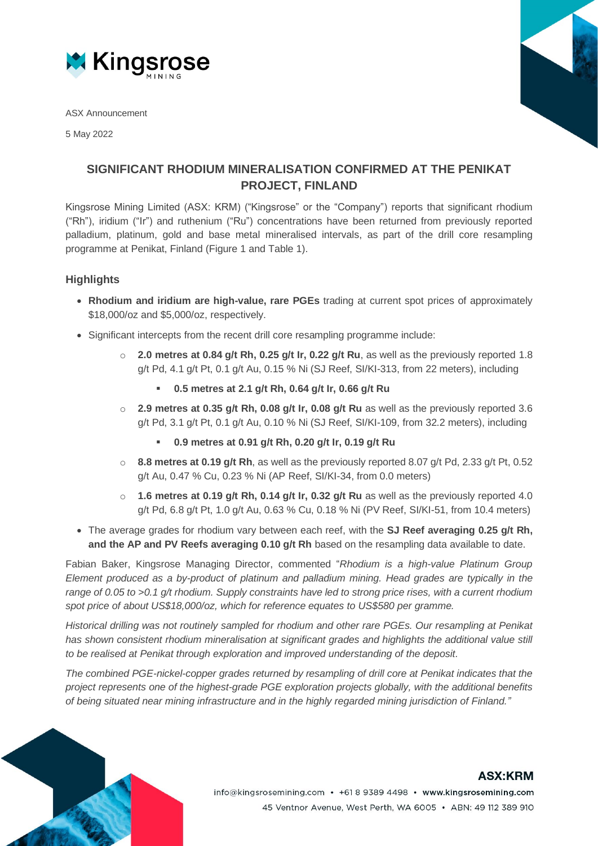

ASX Announcement

5 May 2022



## **SIGNIFICANT RHODIUM MINERALISATION CONFIRMED AT THE PENIKAT PROJECT, FINLAND**

Kingsrose Mining Limited (ASX: KRM) ("Kingsrose" or the "Company") reports that significant rhodium ("Rh"), iridium ("Ir") and ruthenium ("Ru") concentrations have been returned from previously reported palladium, platinum, gold and base metal mineralised intervals, as part of the drill core resampling programme at Penikat, Finland (Figure 1 and Table 1).

### **Highlights**

- **Rhodium and iridium are high-value, rare PGEs** trading at current spot prices of approximately \$18,000/oz and \$5,000/oz, respectively.
- Significant intercepts from the recent drill core resampling programme include:
	- o **2.0 metres at 0.84 g/t Rh, 0.25 g/t Ir, 0.22 g/t Ru**, as well as the previously reported 1.8 g/t Pd, 4.1 g/t Pt, 0.1 g/t Au, 0.15 % Ni (SJ Reef, SI/KI-313, from 22 meters), including
		- **0.5 metres at 2.1 g/t Rh, 0.64 g/t Ir, 0.66 g/t Ru**
	- o **2.9 metres at 0.35 g/t Rh, 0.08 g/t Ir, 0.08 g/t Ru** as well as the previously reported 3.6 g/t Pd, 3.1 g/t Pt, 0.1 g/t Au, 0.10 % Ni (SJ Reef, SI/KI-109, from 32.2 meters), including
		- **0.9 metres at 0.91 g/t Rh, 0.20 g/t Ir, 0.19 g/t Ru**
	- o **8.8 metres at 0.19 g/t Rh**, as well as the previously reported 8.07 g/t Pd, 2.33 g/t Pt, 0.52 g/t Au, 0.47 % Cu, 0.23 % Ni (AP Reef, SI/KI-34, from 0.0 meters)
	- o **1.6 metres at 0.19 g/t Rh, 0.14 g/t Ir, 0.32 g/t Ru** as well as the previously reported 4.0 g/t Pd, 6.8 g/t Pt, 1.0 g/t Au, 0.63 % Cu, 0.18 % Ni (PV Reef, SI/KI-51, from 10.4 meters)
- The average grades for rhodium vary between each reef, with the **SJ Reef averaging 0.25 g/t Rh, and the AP and PV Reefs averaging 0.10 g/t Rh** based on the resampling data available to date.

Fabian Baker, Kingsrose Managing Director, commented "*Rhodium is a high-value Platinum Group Element produced as a by-product of platinum and palladium mining. Head grades are typically in the range of 0.05 to >0.1 g/t rhodium. Supply constraints have led to strong price rises, with a current rhodium spot price of about US\$18,000/oz, which for reference equates to US\$580 per gramme.*

*Historical drilling was not routinely sampled for rhodium and other rare PGEs. Our resampling at Penikat has shown consistent rhodium mineralisation at significant grades and highlights the additional value still to be realised at Penikat through exploration and improved understanding of the deposit.* 

*The combined PGE-nickel-copper grades returned by resampling of drill core at Penikat indicates that the project represents one of the highest-grade PGE exploration projects globally, with the additional benefits of being situated near mining infrastructure and in the highly regarded mining jurisdiction of Finland."*



## **ASX:KRM**

info@kingsrosemining.com • +61 8 9389 4498 • www.kingsrosemining.com 45 Ventnor Avenue, West Perth, WA 6005 · ABN: 49 112 389 910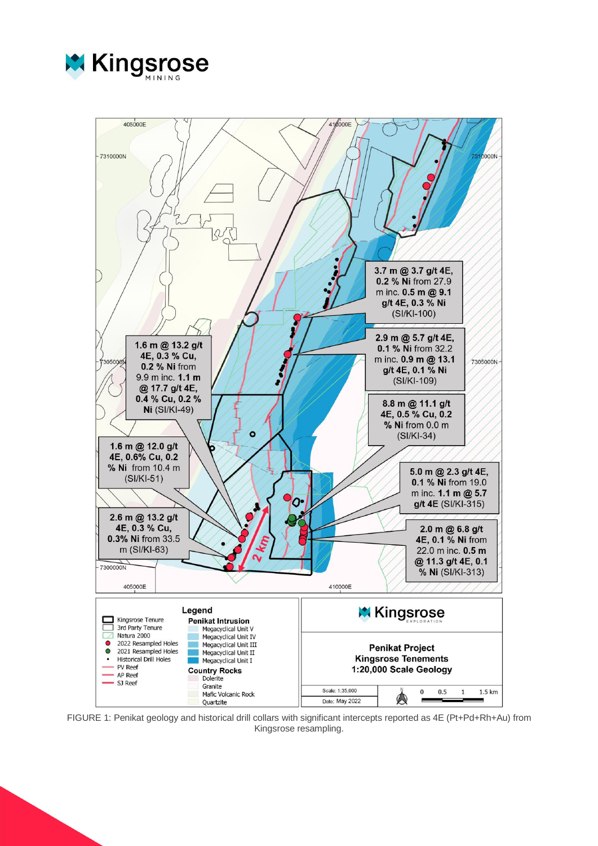



FIGURE 1: Penikat geology and historical drill collars with significant intercepts reported as 4E (Pt+Pd+Rh+Au) from Kingsrose resampling.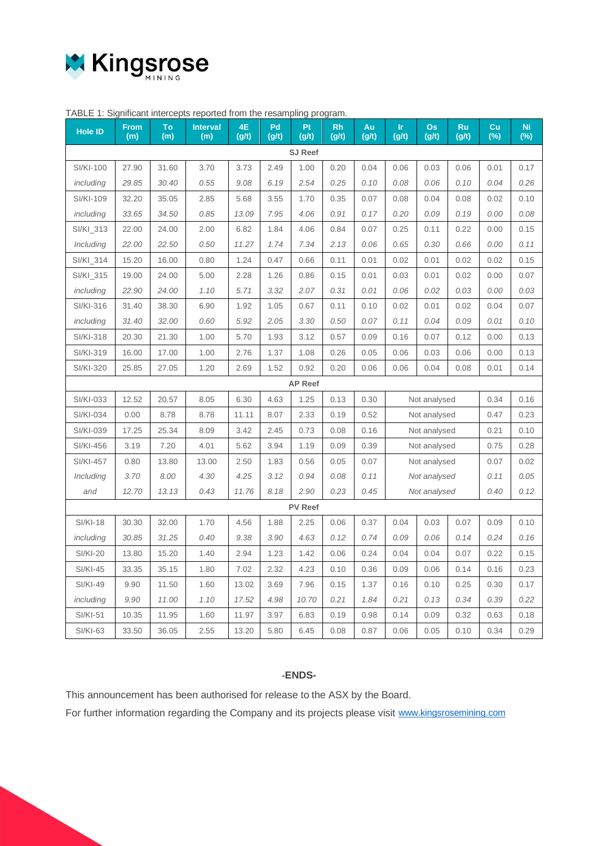

|                  | TABLE 1. Significant intercepts reported from the resampling program. |           |                        |             |             |                |                    |             |              |                    |                    |              |                     |
|------------------|-----------------------------------------------------------------------|-----------|------------------------|-------------|-------------|----------------|--------------------|-------------|--------------|--------------------|--------------------|--------------|---------------------|
| <b>Hole ID</b>   | <b>From</b><br>(m)                                                    | To<br>(m) | <b>Interval</b><br>(m) | 4E<br>(g/t) | Pd<br>(g/t) | Pt<br>(g/t)    | <b>Rh</b><br>(g/t) | Au<br>(g/t) | Ir.<br>(g/t) | <b>Os</b><br>(g/t) | <b>Ru</b><br>(g/t) | Cu<br>$(\%)$ | <b>Ni</b><br>$(\%)$ |
| <b>SJ Reef</b>   |                                                                       |           |                        |             |             |                |                    |             |              |                    |                    |              |                     |
| <b>SI/KI-100</b> | 27.90                                                                 | 31.60     | 3.70                   | 3.73        | 2.49        | 1.00           | 0.20               | 0.04        | 0.06         | 0.03               | 0.06               | 0.01         | 0.17                |
| including        | 29.85                                                                 | 30.40     | 0.55                   | 9.08        | 6.19        | 2.54           | 0.25               | 0.10        | 0.08         | 0.06               | 0.10               | 0.04         | 0.26                |
| SI/KI-109        | 32.20                                                                 | 35.05     | 2.85                   | 5.68        | 3.55        | 1.70           | 0.35               | 0.07        | 0.08         | 0.04               | 0.08               | 0.02         | 0.10                |
| including        | 33.65                                                                 | 34.50     | 0.85                   | 13.09       | 7.95        | 4.06           | 0.91               | 0.17        | 0.20         | 0.09               | 0.19               | 0.00         | 0.08                |
| SI/KI_313        | 22.00                                                                 | 24.00     | 2.00                   | 6.82        | 1.84        | 4.06           | 0.84               | 0.07        | 0.25         | 0.11               | 0.22               | 0.00         | 0.15                |
| Including        | 22.00                                                                 | 22.50     | 0.50                   | 11.27       | 1.74        | 7.34           | 2.13               | 0.06        | 0.65         | 0.30               | 0.66               | 0.00         | 0.11                |
| SI/KI_314        | 15.20                                                                 | 16.00     | 0.80                   | 1.24        | 0.47        | 0.66           | 0.11               | 0.01        | 0.02         | 0.01               | 0.02               | 0.02         | 0.15                |
| SI/KI_315        | 19.00                                                                 | 24.00     | 5.00                   | 2.28        | 1.26        | 0.86           | 0.15               | 0.01        | 0.03         | 0.01               | 0.02               | 0.00         | 0.07                |
| including        | 22.90                                                                 | 24.00     | 1.10                   | 5.71        | 3.32        | 2.07           | 0.31               | 0.01        | 0.06         | 0.02               | 0.03               | 0.00         | 0.03                |
| SI/KI-316        | 31.40                                                                 | 38.30     | 6.90                   | 1.92        | 1.05        | 0.67           | 0.11               | 0.10        | 0.02         | 0.01               | 0.02               | 0.04         | 0.07                |
| including        | 31.40                                                                 | 32.00     | 0.60                   | 5.92        | 2.05        | 3.30           | 0.50               | 0.07        | 0.11         | 0.04               | 0.09               | 0.01         | 0.10                |
| SI/KI-318        | 20.30                                                                 | 21.30     | 1.00                   | 5.70        | 1.93        | 3.12           | 0.57               | 0.09        | 0.16         | 0.07               | 0.12               | 0.00         | 0.13                |
| SI/KI-319        | 16.00                                                                 | 17.00     | 1.00                   | 2.76        | 1.37        | 1.08           | 0.26               | 0.05        | 0.06         | 0.03               | 0.06               | 0.00         | 0.13                |
| SI/KI-320        | 25.85                                                                 | 27.05     | 1.20                   | 2.69        | 1.52        | 0.92           | 0.20               | 0.06        | 0.06         | 0.04               | 0.08               | 0.01         | 0.14                |
|                  |                                                                       |           |                        |             |             | <b>AP Reef</b> |                    |             |              |                    |                    |              |                     |
| SI/KI-033        | 12.52                                                                 | 20.57     | 8.05                   | 6.30        | 4.63        | 1.25           | 0.13               | 0.30        |              | Not analysed       |                    | 0.34         | 0.16                |
| SI/KI-034        | 0.00                                                                  | 8.78      | 8.78                   | 11.11       | 8.07        | 2.33           | 0.19               | 0.52        | Not analysed |                    | 0.47               | 0.23         |                     |
| SI/KI-039        | 17.25                                                                 | 25.34     | 8.09                   | 3.42        | 2.45        | 0.73           | 0.08               | 0.16        |              | Not analysed       |                    | 0.21         | 0.10                |
| SI/KI-456        | 3.19                                                                  | 7.20      | 4.01                   | 5.62        | 3.94        | 1.19           | 0.09               | 0.39        |              | Not analysed       |                    | 0.75         | 0.28                |
| <b>SI/KI-457</b> | 0.80                                                                  | 13.80     | 13.00                  | 2.50        | 1.83        | 0.56           | 0.05               | 0.07        |              | Not analysed       |                    | 0.07         | 0.02                |
| Including        | 3.70                                                                  | 8.00      | 4.30                   | 4.25        | 3.12        | 0.94           | 0.08               | 0.11        |              | Not analysed       |                    | 0.11         | 0.05                |
| and              | 12.70                                                                 | 13.13     | 0.43                   | 11.76       | 8.18        | 2.90           | 0.23               | 0.45        |              | Not analysed       |                    | 0.40         | 0.12                |
|                  |                                                                       |           |                        |             |             | <b>PV Reef</b> |                    |             |              |                    |                    |              |                     |
| <b>SI/KI-18</b>  | 30.30                                                                 | 32.00     | 1.70                   | 4.56        | 1.88        | 2.25           | 0.06               | 0.37        | 0.04         | 0.03               | 0.07               | 0.09         | 0.10                |
| including        | 30.85                                                                 | 31.25     | 0.40                   | 9.38        | 3.90        | 4.63           | 0.12               | 0.74        | 0.09         | 0.06               | 0.14               | 0.24         | 0.16                |
| <b>SI/KI-20</b>  | 13.80                                                                 | 15.20     | 1.40                   | 2.94        | 1.23        | 1.42           | 0.06               | 0.24        | 0.04         | 0.04               | 0.07               | 0.22         | 0.15                |
| <b>SI/KI-45</b>  | 33.35                                                                 | 35.15     | 1.80                   | 7.02        | 2.32        | 4.23           | 0.10               | 0.36        | 0.09         | 0.06               | 0.14               | 0.16         | 0.23                |
| <b>SI/KI-49</b>  | 9.90                                                                  | 11.50     | 1.60                   | 13.02       | 3.69        | 7.96           | 0.15               | 1.37        | 0.16         | 0.10               | 0.25               | 0.30         | 0.17                |
| including        | 9.90                                                                  | 11.00     | 1.10                   | 17.52       | 4.98        | 10.70          | 0.21               | 1.84        | 0.21         | 0.13               | 0.34               | 0.39         | 0.22                |
| <b>SI/KI-51</b>  | 10.35                                                                 | 11.95     | 1.60                   | 11.97       | 3.97        | 6.83           | 0.19               | 0.98        | 0.14         | 0.09               | 0.32               | 0.63         | 0.18                |
| <b>SI/KI-63</b>  | 33.50                                                                 | 36.05     | 2.55                   | 13.20       | 5.80        | 6.45           | 0.08               | 0.87        | 0.06         | 0.05               | 0.10               | 0.34         | 0.29                |

### $TADI E 1: Cianifiont information can extend from the recommlin.$

#### **-ENDS-**

This announcement has been authorised for release to the ASX by the Board.

For further information regarding the Company and its projects please visit [www.kingsrosemining.com](http://www.kingsrosemining.com/)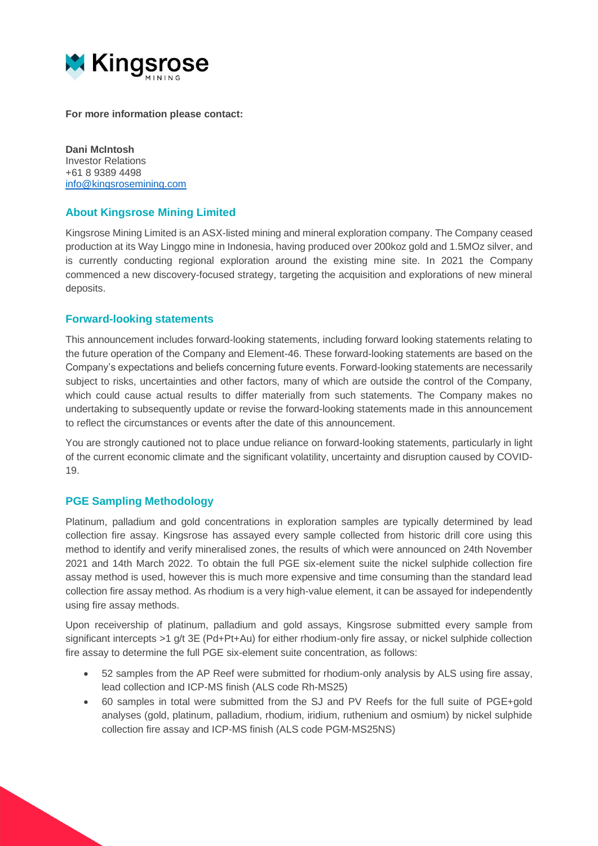

**For more information please contact:**

**Dani McIntosh** Investor Relations +61 8 9389 4498 [info@kingsrosemining.com](mailto:info@kingsrosemining.com)

#### **About Kingsrose Mining Limited**

Kingsrose Mining Limited is an ASX-listed mining and mineral exploration company. The Company ceased production at its Way Linggo mine in Indonesia, having produced over 200koz gold and 1.5MOz silver, and is currently conducting regional exploration around the existing mine site. In 2021 the Company commenced a new discovery-focused strategy, targeting the acquisition and explorations of new mineral deposits.

#### **Forward-looking statements**

This announcement includes forward-looking statements, including forward looking statements relating to the future operation of the Company and Element-46. These forward-looking statements are based on the Company's expectations and beliefs concerning future events. Forward-looking statements are necessarily subject to risks, uncertainties and other factors, many of which are outside the control of the Company, which could cause actual results to differ materially from such statements. The Company makes no undertaking to subsequently update or revise the forward-looking statements made in this announcement to reflect the circumstances or events after the date of this announcement.

You are strongly cautioned not to place undue reliance on forward-looking statements, particularly in light of the current economic climate and the significant volatility, uncertainty and disruption caused by COVID-19.

#### **PGE Sampling Methodology**

Platinum, palladium and gold concentrations in exploration samples are typically determined by lead collection fire assay. Kingsrose has assayed every sample collected from historic drill core using this method to identify and verify mineralised zones, the results of which were announced on 24th November 2021 and 14th March 2022. To obtain the full PGE six-element suite the nickel sulphide collection fire assay method is used, however this is much more expensive and time consuming than the standard lead collection fire assay method. As rhodium is a very high-value element, it can be assayed for independently using fire assay methods.

Upon receivership of platinum, palladium and gold assays, Kingsrose submitted every sample from significant intercepts >1 g/t 3E (Pd+Pt+Au) for either rhodium-only fire assay, or nickel sulphide collection fire assay to determine the full PGE six-element suite concentration, as follows:

- 52 samples from the AP Reef were submitted for rhodium-only analysis by ALS using fire assay, lead collection and ICP-MS finish (ALS code Rh-MS25)
- 60 samples in total were submitted from the SJ and PV Reefs for the full suite of PGE+gold analyses (gold, platinum, palladium, rhodium, iridium, ruthenium and osmium) by nickel sulphide collection fire assay and ICP-MS finish (ALS code PGM-MS25NS)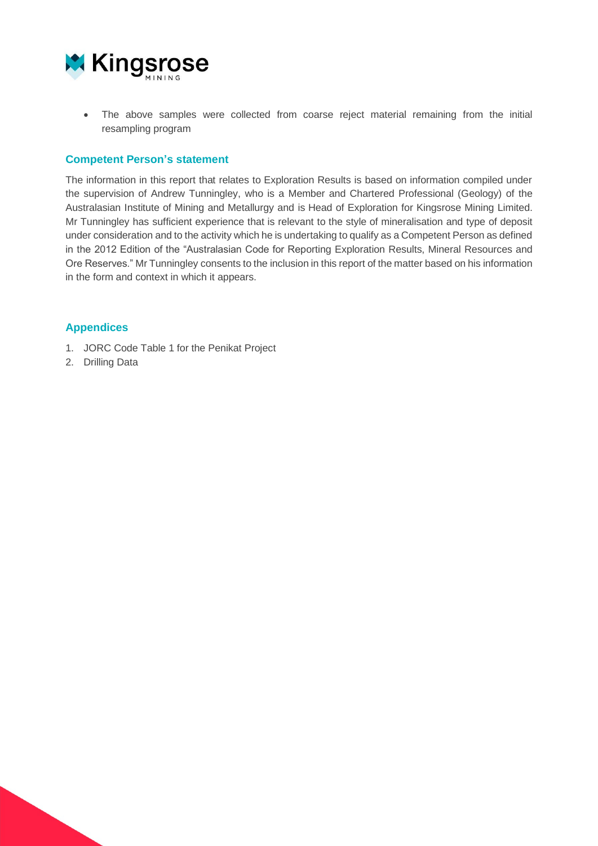

• The above samples were collected from coarse reject material remaining from the initial resampling program

#### **Competent Person's statement**

The information in this report that relates to Exploration Results is based on information compiled under the supervision of Andrew Tunningley, who is a Member and Chartered Professional (Geology) of the Australasian Institute of Mining and Metallurgy and is Head of Exploration for Kingsrose Mining Limited. Mr Tunningley has sufficient experience that is relevant to the style of mineralisation and type of deposit under consideration and to the activity which he is undertaking to qualify as a Competent Person as defined in the 2012 Edition of the "Australasian Code for Reporting Exploration Results, Mineral Resources and Ore Reserves." Mr Tunningley consents to the inclusion in this report of the matter based on his information in the form and context in which it appears.

#### **Appendices**

- 1. JORC Code Table 1 for the Penikat Project
- 2. Drilling Data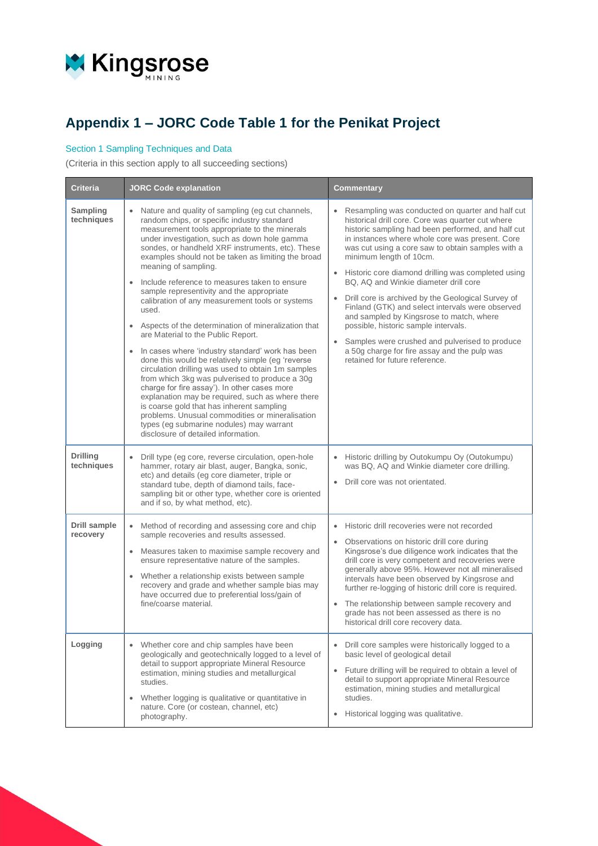

# **Appendix 1 – JORC Code Table 1 for the Penikat Project**

#### Section 1 Sampling Techniques and Data

(Criteria in this section apply to all succeeding sections)

| <b>Criteria</b>               | <b>JORC Code explanation</b>                                                                                                                                                                                                                                                                                                                                                                                                                                                                                                                                                                                                                                                                                                                                                                                                                                                                                                                                                                                                                                                                                                                          | Commentary                                                                                                                                                                                                                                                                                                                                                                                                                                                                                                                                                                                                                                                                                                                      |
|-------------------------------|-------------------------------------------------------------------------------------------------------------------------------------------------------------------------------------------------------------------------------------------------------------------------------------------------------------------------------------------------------------------------------------------------------------------------------------------------------------------------------------------------------------------------------------------------------------------------------------------------------------------------------------------------------------------------------------------------------------------------------------------------------------------------------------------------------------------------------------------------------------------------------------------------------------------------------------------------------------------------------------------------------------------------------------------------------------------------------------------------------------------------------------------------------|---------------------------------------------------------------------------------------------------------------------------------------------------------------------------------------------------------------------------------------------------------------------------------------------------------------------------------------------------------------------------------------------------------------------------------------------------------------------------------------------------------------------------------------------------------------------------------------------------------------------------------------------------------------------------------------------------------------------------------|
| Sampling<br>techniques        | Nature and quality of sampling (eg cut channels,<br>$\bullet$<br>random chips, or specific industry standard<br>measurement tools appropriate to the minerals<br>under investigation, such as down hole gamma<br>sondes, or handheld XRF instruments, etc). These<br>examples should not be taken as limiting the broad<br>meaning of sampling.<br>Include reference to measures taken to ensure<br>$\bullet$<br>sample representivity and the appropriate<br>calibration of any measurement tools or systems<br>used.<br>Aspects of the determination of mineralization that<br>$\bullet$<br>are Material to the Public Report.<br>In cases where 'industry standard' work has been<br>$\bullet$<br>done this would be relatively simple (eg 'reverse<br>circulation drilling was used to obtain 1m samples<br>from which 3kg was pulverised to produce a 30g<br>charge for fire assay'). In other cases more<br>explanation may be required, such as where there<br>is coarse gold that has inherent sampling<br>problems. Unusual commodities or mineralisation<br>types (eg submarine nodules) may warrant<br>disclosure of detailed information. | Resampling was conducted on quarter and half cut<br>historical drill core. Core was quarter cut where<br>historic sampling had been performed, and half cut<br>in instances where whole core was present. Core<br>was cut using a core saw to obtain samples with a<br>minimum length of 10cm.<br>Historic core diamond drilling was completed using<br>BQ, AQ and Winkie diameter drill core<br>Drill core is archived by the Geological Survey of<br>Finland (GTK) and select intervals were observed<br>and sampled by Kingsrose to match, where<br>possible, historic sample intervals.<br>Samples were crushed and pulverised to produce<br>a 50g charge for fire assay and the pulp was<br>retained for future reference. |
| <b>Drilling</b><br>techniques | Drill type (eg core, reverse circulation, open-hole<br>$\bullet$<br>hammer, rotary air blast, auger, Bangka, sonic,<br>etc) and details (eg core diameter, triple or<br>standard tube, depth of diamond tails, face-<br>sampling bit or other type, whether core is oriented<br>and if so, by what method, etc).                                                                                                                                                                                                                                                                                                                                                                                                                                                                                                                                                                                                                                                                                                                                                                                                                                      | Historic drilling by Outokumpu Oy (Outokumpu)<br>was BQ, AQ and Winkie diameter core drilling.<br>Drill core was not orientated.                                                                                                                                                                                                                                                                                                                                                                                                                                                                                                                                                                                                |
| Drill sample<br>recovery      | Method of recording and assessing core and chip<br>$\bullet$<br>sample recoveries and results assessed.<br>Measures taken to maximise sample recovery and<br>$\bullet$<br>ensure representative nature of the samples.<br>Whether a relationship exists between sample<br>$\bullet$<br>recovery and grade and whether sample bias may<br>have occurred due to preferential loss/gain of<br>fine/coarse material.                                                                                                                                                                                                                                                                                                                                                                                                                                                                                                                                                                                                                                                                                                                                      | Historic drill recoveries were not recorded<br>Observations on historic drill core during<br>Kingsrose's due diligence work indicates that the<br>drill core is very competent and recoveries were<br>generally above 95%. However not all mineralised<br>intervals have been observed by Kingsrose and<br>further re-logging of historic drill core is required.<br>The relationship between sample recovery and<br>grade has not been assessed as there is no<br>historical drill core recovery data.                                                                                                                                                                                                                         |
| Logging                       | Whether core and chip samples have been<br>$\bullet$<br>geologically and geotechnically logged to a level of<br>detail to support appropriate Mineral Resource<br>estimation, mining studies and metallurgical<br>studies.<br>Whether logging is qualitative or quantitative in<br>$\bullet$<br>nature. Core (or costean, channel, etc)<br>photography.                                                                                                                                                                                                                                                                                                                                                                                                                                                                                                                                                                                                                                                                                                                                                                                               | Drill core samples were historically logged to a<br>$\bullet$<br>basic level of geological detail<br>Future drilling will be required to obtain a level of<br>detail to support appropriate Mineral Resource<br>estimation, mining studies and metallurgical<br>studies.<br>Historical logging was qualitative.<br>$\bullet$                                                                                                                                                                                                                                                                                                                                                                                                    |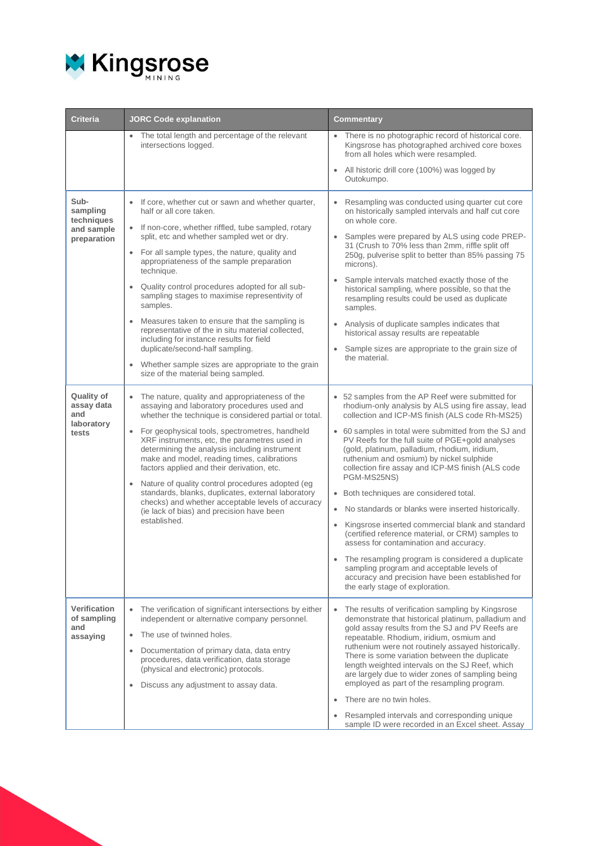

| <b>Criteria</b>                                             | <b>JORC Code explanation</b>                                                                                                                                                                                                                                                                                                                                                                                                                                                                                                                                                                                                                                                                                 | Commentary                                                                                                                                                                                                                                                                                                                                                                                                                                                                                                                                                                                                                                                                                                                                                                                                                                                                                       |
|-------------------------------------------------------------|--------------------------------------------------------------------------------------------------------------------------------------------------------------------------------------------------------------------------------------------------------------------------------------------------------------------------------------------------------------------------------------------------------------------------------------------------------------------------------------------------------------------------------------------------------------------------------------------------------------------------------------------------------------------------------------------------------------|--------------------------------------------------------------------------------------------------------------------------------------------------------------------------------------------------------------------------------------------------------------------------------------------------------------------------------------------------------------------------------------------------------------------------------------------------------------------------------------------------------------------------------------------------------------------------------------------------------------------------------------------------------------------------------------------------------------------------------------------------------------------------------------------------------------------------------------------------------------------------------------------------|
|                                                             | The total length and percentage of the relevant<br>intersections logged.                                                                                                                                                                                                                                                                                                                                                                                                                                                                                                                                                                                                                                     | There is no photographic record of historical core.<br>Kingsrose has photographed archived core boxes<br>from all holes which were resampled.<br>All historic drill core (100%) was logged by<br>Outokumpo.                                                                                                                                                                                                                                                                                                                                                                                                                                                                                                                                                                                                                                                                                      |
| Sub-<br>sampling<br>techniques<br>and sample<br>preparation | If core, whether cut or sawn and whether quarter,<br>half or all core taken.<br>If non-core, whether riffled, tube sampled, rotary<br>split, etc and whether sampled wet or dry.<br>• For all sample types, the nature, quality and<br>appropriateness of the sample preparation<br>technique.<br>Quality control procedures adopted for all sub-<br>sampling stages to maximise representivity of<br>samples.<br>Measures taken to ensure that the sampling is<br>$\bullet$<br>representative of the in situ material collected,<br>including for instance results for field<br>duplicate/second-half sampling.<br>Whether sample sizes are appropriate to the grain<br>size of the material being sampled. | Resampling was conducted using quarter cut core<br>on historically sampled intervals and half cut core<br>on whole core.<br>Samples were prepared by ALS using code PREP-<br>31 (Crush to 70% less than 2mm, riffle split off<br>250g, pulverise split to better than 85% passing 75<br>microns).<br>Sample intervals matched exactly those of the<br>historical sampling, where possible, so that the<br>resampling results could be used as duplicate<br>samples.<br>Analysis of duplicate samples indicates that<br>historical assay results are repeatable<br>Sample sizes are appropriate to the grain size of<br>the material.                                                                                                                                                                                                                                                             |
| Quality of<br>assay data<br>and<br>laboratory<br>tests      | The nature, quality and appropriateness of the<br>$\bullet$<br>assaying and laboratory procedures used and<br>whether the technique is considered partial or total.<br>For geophysical tools, spectrometres, handheld<br>$\bullet$<br>XRF instruments, etc, the parametres used in<br>determining the analysis including instrument<br>make and model, reading times, calibrations<br>factors applied and their derivation, etc.<br>Nature of quality control procedures adopted (eg<br>$\bullet$<br>standards, blanks, duplicates, external laboratory<br>checks) and whether acceptable levels of accuracy<br>(ie lack of bias) and precision have been<br>established.                                    | • 52 samples from the AP Reef were submitted for<br>rhodium-only analysis by ALS using fire assay, lead<br>collection and ICP-MS finish (ALS code Rh-MS25)<br>• 60 samples in total were submitted from the SJ and<br>PV Reefs for the full suite of PGE+gold analyses<br>(gold, platinum, palladium, rhodium, iridium,<br>ruthenium and osmium) by nickel sulphide<br>collection fire assay and ICP-MS finish (ALS code<br>PGM-MS25NS)<br>• Both techniques are considered total.<br>No standards or blanks were inserted historically.<br>Kingsrose inserted commercial blank and standard<br>$\bullet$<br>(certified reference material, or CRM) samples to<br>assess for contamination and accuracy.<br>The resampling program is considered a duplicate<br>sampling program and acceptable levels of<br>accuracy and precision have been established for<br>the early stage of exploration. |
| Verification<br>of sampling<br>and<br>assaying              | The verification of significant intersections by either<br>$\bullet$<br>independent or alternative company personnel.<br>The use of twinned holes.<br>$\bullet$<br>Documentation of primary data, data entry<br>$\bullet$<br>procedures, data verification, data storage<br>(physical and electronic) protocols.<br>Discuss any adjustment to assay data.                                                                                                                                                                                                                                                                                                                                                    | The results of verification sampling by Kingsrose<br>demonstrate that historical platinum, palladium and<br>gold assay results from the SJ and PV Reefs are<br>repeatable. Rhodium, iridium, osmium and<br>ruthenium were not routinely assayed historically.<br>There is some variation between the duplicate<br>length weighted intervals on the SJ Reef, which<br>are largely due to wider zones of sampling being<br>employed as part of the resampling program.<br>There are no twin holes.<br>Resampled intervals and corresponding unique<br>sample ID were recorded in an Excel sheet. Assay                                                                                                                                                                                                                                                                                             |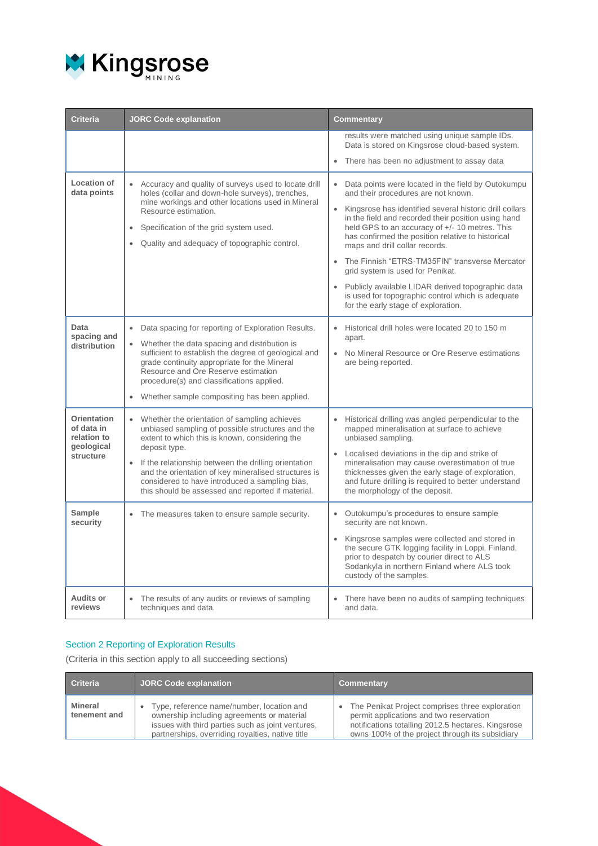

| <b>Criteria</b>                                                     | <b>JORC Code explanation</b>                                                                                                                                                                                                                                                                                                                                                                            | <b>Commentary</b>                                                                                                                                                                                                                                                                                                                                                                                                                                                                                                                                                                                          |
|---------------------------------------------------------------------|---------------------------------------------------------------------------------------------------------------------------------------------------------------------------------------------------------------------------------------------------------------------------------------------------------------------------------------------------------------------------------------------------------|------------------------------------------------------------------------------------------------------------------------------------------------------------------------------------------------------------------------------------------------------------------------------------------------------------------------------------------------------------------------------------------------------------------------------------------------------------------------------------------------------------------------------------------------------------------------------------------------------------|
|                                                                     |                                                                                                                                                                                                                                                                                                                                                                                                         | results were matched using unique sample IDs.<br>Data is stored on Kingsrose cloud-based system.                                                                                                                                                                                                                                                                                                                                                                                                                                                                                                           |
|                                                                     |                                                                                                                                                                                                                                                                                                                                                                                                         | • There has been no adjustment to assay data                                                                                                                                                                                                                                                                                                                                                                                                                                                                                                                                                               |
| Location of<br>data points                                          | Accuracy and quality of surveys used to locate drill<br>holes (collar and down-hole surveys), trenches,<br>mine workings and other locations used in Mineral<br>Resource estimation.<br>Specification of the grid system used.<br>Quality and adequacy of topographic control.                                                                                                                          | Data points were located in the field by Outokumpu<br>and their procedures are not known.<br>Kingsrose has identified several historic drill collars<br>$\bullet$<br>in the field and recorded their position using hand<br>held GPS to an accuracy of +/- 10 metres. This<br>has confirmed the position relative to historical<br>maps and drill collar records.<br>The Finnish "ETRS-TM35FIN" transverse Mercator<br>grid system is used for Penikat.<br>• Publicly available LIDAR derived topographic data<br>is used for topographic control which is adequate<br>for the early stage of exploration. |
| Data<br>spacing and<br>distribution                                 | Data spacing for reporting of Exploration Results.<br>Whether the data spacing and distribution is<br>$\bullet$<br>sufficient to establish the degree of geological and<br>grade continuity appropriate for the Mineral<br>Resource and Ore Reserve estimation<br>procedure(s) and classifications applied.<br>Whether sample compositing has been applied.<br>$\bullet$                                | Historical drill holes were located 20 to 150 m<br>apart.<br>No Mineral Resource or Ore Reserve estimations<br>$\bullet$<br>are being reported.                                                                                                                                                                                                                                                                                                                                                                                                                                                            |
| Orientation<br>of data in<br>relation to<br>geological<br>structure | Whether the orientation of sampling achieves<br>$\bullet$<br>unbiased sampling of possible structures and the<br>extent to which this is known, considering the<br>deposit type.<br>If the relationship between the drilling orientation<br>and the orientation of key mineralised structures is<br>considered to have introduced a sampling bias,<br>this should be assessed and reported if material. | Historical drilling was angled perpendicular to the<br>$\bullet$<br>mapped mineralisation at surface to achieve<br>unbiased sampling.<br>• Localised deviations in the dip and strike of<br>mineralisation may cause overestimation of true<br>thicknesses given the early stage of exploration,<br>and future drilling is required to better understand<br>the morphology of the deposit.                                                                                                                                                                                                                 |
| Sample<br>security                                                  | The measures taken to ensure sample security.<br>$\bullet$                                                                                                                                                                                                                                                                                                                                              | Outokumpu's procedures to ensure sample<br>security are not known.<br>Kingsrose samples were collected and stored in<br>$\bullet$<br>the secure GTK logging facility in Loppi, Finland,<br>prior to despatch by courier direct to ALS<br>Sodankyla in northern Finland where ALS took<br>custody of the samples.                                                                                                                                                                                                                                                                                           |
| <b>Audits or</b><br>reviews                                         | The results of any audits or reviews of sampling<br>techniques and data.                                                                                                                                                                                                                                                                                                                                | There have been no audits of sampling techniques<br>and data.                                                                                                                                                                                                                                                                                                                                                                                                                                                                                                                                              |

#### Section 2 Reporting of Exploration Results

(Criteria in this section apply to all succeeding sections)

| <b>Criteria</b>         | <b>JORC Code explanation</b>                                                                                                                                                                     | <b>Commentary</b>                                                                                                                                                                                                |
|-------------------------|--------------------------------------------------------------------------------------------------------------------------------------------------------------------------------------------------|------------------------------------------------------------------------------------------------------------------------------------------------------------------------------------------------------------------|
| Mineral<br>tenement and | Type, reference name/number, location and<br>ownership including agreements or material<br>issues with third parties such as joint ventures.<br>partnerships, overriding royalties, native title | The Penikat Project comprises three exploration<br>$\bullet$<br>permit applications and two reservation<br>notifications totalling 2012.5 hectares. Kingsrose<br>owns 100% of the project through its subsidiary |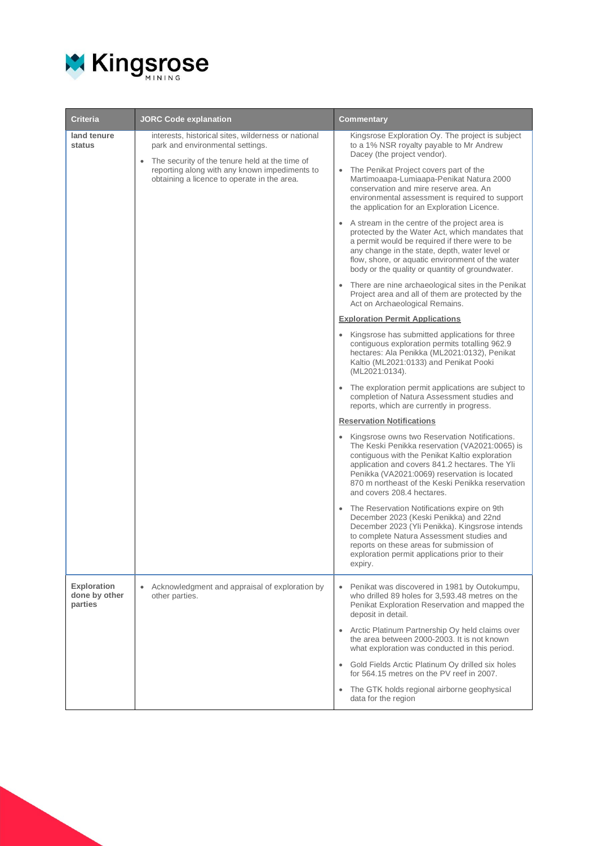

| <b>Criteria</b>                                | <b>JORC Code explanation</b>                                                                                                                                                                                                                           | Commentary                                                                                                                                                                                                                                                                                                                                                                                                                                                                                                                                                                                                                                                                                                                                                                                                                                                                                                                                                                                                                                                                                                                                                                                                                                                                                                                                                                                                                                                                                                                                                                                                                                                                                                                                                                                                                                                                                                                             |
|------------------------------------------------|--------------------------------------------------------------------------------------------------------------------------------------------------------------------------------------------------------------------------------------------------------|----------------------------------------------------------------------------------------------------------------------------------------------------------------------------------------------------------------------------------------------------------------------------------------------------------------------------------------------------------------------------------------------------------------------------------------------------------------------------------------------------------------------------------------------------------------------------------------------------------------------------------------------------------------------------------------------------------------------------------------------------------------------------------------------------------------------------------------------------------------------------------------------------------------------------------------------------------------------------------------------------------------------------------------------------------------------------------------------------------------------------------------------------------------------------------------------------------------------------------------------------------------------------------------------------------------------------------------------------------------------------------------------------------------------------------------------------------------------------------------------------------------------------------------------------------------------------------------------------------------------------------------------------------------------------------------------------------------------------------------------------------------------------------------------------------------------------------------------------------------------------------------------------------------------------------------|
| land tenure<br>status                          | interests, historical sites, wilderness or national<br>park and environmental settings.<br>The security of the tenure held at the time of<br>$\bullet$<br>reporting along with any known impediments to<br>obtaining a licence to operate in the area. | Kingsrose Exploration Oy. The project is subject<br>to a 1% NSR royalty payable to Mr Andrew<br>Dacey (the project vendor).<br>The Penikat Project covers part of the<br>$\bullet$<br>Martimoaapa-Lumiaapa-Penikat Natura 2000<br>conservation and mire reserve area. An<br>environmental assessment is required to support<br>the application for an Exploration Licence.<br>• A stream in the centre of the project area is<br>protected by the Water Act, which mandates that<br>a permit would be required if there were to be<br>any change in the state, depth, water level or<br>flow, shore, or aquatic environment of the water<br>body or the quality or quantity of groundwater.<br>• There are nine archaeological sites in the Penikat<br>Project area and all of them are protected by the<br>Act on Archaeological Remains.<br><b>Exploration Permit Applications</b><br>• Kingsrose has submitted applications for three<br>contiguous exploration permits totalling 962.9<br>hectares: Ala Penikka (ML2021:0132), Penikat<br>Kaltio (ML2021:0133) and Penikat Pooki<br>(ML2021:0134).<br>The exploration permit applications are subject to<br>completion of Natura Assessment studies and<br>reports, which are currently in progress.<br><b>Reservation Notifications</b><br>Kingsrose owns two Reservation Notifications.<br>The Keski Penikka reservation (VA2021:0065) is<br>contiguous with the Penikat Kaltio exploration<br>application and covers 841.2 hectares. The Yli<br>Penikka (VA2021:0069) reservation is located<br>870 m northeast of the Keski Penikka reservation<br>and covers 208.4 hectares.<br>The Reservation Notifications expire on 9th<br>December 2023 (Keski Penikka) and 22nd<br>December 2023 (Yli Penikka). Kingsrose intends<br>to complete Natura Assessment studies and<br>reports on these areas for submission of<br>exploration permit applications prior to their<br>expiry. |
| <b>Exploration</b><br>done by other<br>parties | Acknowledgment and appraisal of exploration by<br>$\bullet$<br>other parties.                                                                                                                                                                          | Penikat was discovered in 1981 by Outokumpu,<br>who drilled 89 holes for 3,593.48 metres on the<br>Penikat Exploration Reservation and mapped the<br>deposit in detail.<br>• Arctic Platinum Partnership Oy held claims over<br>the area between 2000-2003. It is not known<br>what exploration was conducted in this period.<br>Gold Fields Arctic Platinum Oy drilled six holes<br>$\bullet$<br>for 564.15 metres on the PV reef in 2007.<br>The GTK holds regional airborne geophysical<br>$\bullet$<br>data for the region                                                                                                                                                                                                                                                                                                                                                                                                                                                                                                                                                                                                                                                                                                                                                                                                                                                                                                                                                                                                                                                                                                                                                                                                                                                                                                                                                                                                         |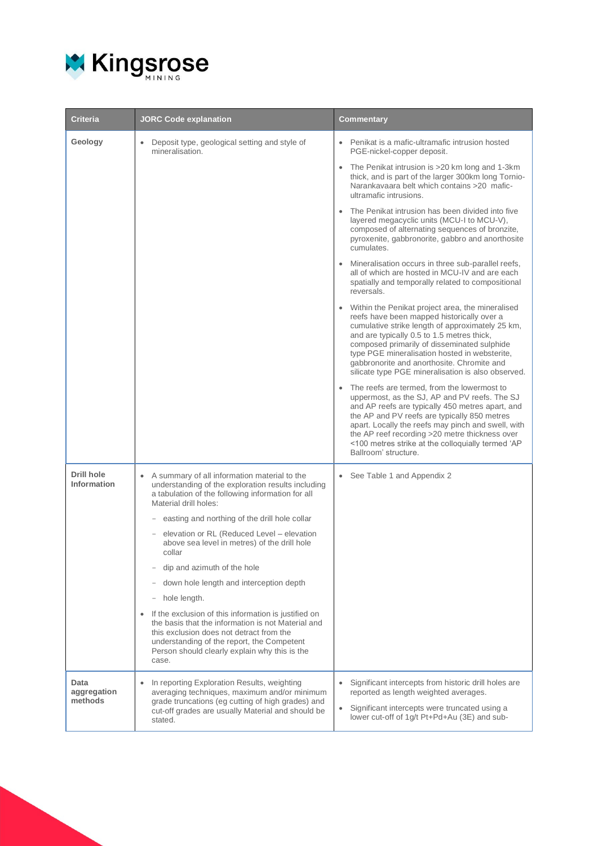

| <b>Criteria</b>                  | <b>JORC Code explanation</b>                                                                                                                                                                                                                                                | Commentary                                                                                                                                                                                                                                                                                                                                                                                             |
|----------------------------------|-----------------------------------------------------------------------------------------------------------------------------------------------------------------------------------------------------------------------------------------------------------------------------|--------------------------------------------------------------------------------------------------------------------------------------------------------------------------------------------------------------------------------------------------------------------------------------------------------------------------------------------------------------------------------------------------------|
| Geology                          | Deposit type, geological setting and style of<br>۰<br>mineralisation.                                                                                                                                                                                                       | Penikat is a mafic-ultramafic intrusion hosted<br>PGE-nickel-copper deposit.                                                                                                                                                                                                                                                                                                                           |
|                                  |                                                                                                                                                                                                                                                                             | • The Penikat intrusion is >20 km long and 1-3 km<br>thick, and is part of the larger 300km long Tornio-<br>Narankavaara belt which contains >20 mafic-<br>ultramafic intrusions.                                                                                                                                                                                                                      |
|                                  |                                                                                                                                                                                                                                                                             | The Penikat intrusion has been divided into five<br>$\bullet$<br>layered megacyclic units (MCU-I to MCU-V),<br>composed of alternating sequences of bronzite,<br>pyroxenite, gabbronorite, gabbro and anorthosite<br>cumulates.                                                                                                                                                                        |
|                                  |                                                                                                                                                                                                                                                                             | • Mineralisation occurs in three sub-parallel reefs,<br>all of which are hosted in MCU-IV and are each<br>spatially and temporally related to compositional<br>reversals.                                                                                                                                                                                                                              |
|                                  |                                                                                                                                                                                                                                                                             | • Within the Penikat project area, the mineralised<br>reefs have been mapped historically over a<br>cumulative strike length of approximately 25 km,<br>and are typically 0.5 to 1.5 metres thick,<br>composed primarily of disseminated sulphide<br>type PGE mineralisation hosted in websterite,<br>gabbronorite and anorthosite. Chromite and<br>silicate type PGE mineralisation is also observed. |
|                                  |                                                                                                                                                                                                                                                                             | • The reefs are termed, from the lowermost to<br>uppermost, as the SJ, AP and PV reefs. The SJ<br>and AP reefs are typically 450 metres apart, and<br>the AP and PV reefs are typically 850 metres<br>apart. Locally the reefs may pinch and swell, with<br>the AP reef recording >20 metre thickness over<br><100 metres strike at the colloquially termed 'AP<br>Ballroom' structure.                |
| <b>Drill hole</b><br>Information | • A summary of all information material to the<br>understanding of the exploration results including<br>a tabulation of the following information for all<br>Material drill holes:                                                                                          | • See Table 1 and Appendix 2                                                                                                                                                                                                                                                                                                                                                                           |
|                                  | easting and northing of the drill hole collar<br>elevation or RL (Reduced Level – elevation<br>above sea level in metres) of the drill hole<br>collar                                                                                                                       |                                                                                                                                                                                                                                                                                                                                                                                                        |
|                                  | dip and azimuth of the hole                                                                                                                                                                                                                                                 |                                                                                                                                                                                                                                                                                                                                                                                                        |
|                                  | down hole length and interception depth                                                                                                                                                                                                                                     |                                                                                                                                                                                                                                                                                                                                                                                                        |
|                                  | hole length.                                                                                                                                                                                                                                                                |                                                                                                                                                                                                                                                                                                                                                                                                        |
|                                  | If the exclusion of this information is justified on<br>$\bullet$<br>the basis that the information is not Material and<br>this exclusion does not detract from the<br>understanding of the report, the Competent<br>Person should clearly explain why this is the<br>case. |                                                                                                                                                                                                                                                                                                                                                                                                        |
| Data<br>aggregation<br>methods   | In reporting Exploration Results, weighting<br>averaging techniques, maximum and/or minimum<br>grade truncations (eg cutting of high grades) and<br>cut-off grades are usually Material and should be<br>stated.                                                            | Significant intercepts from historic drill holes are<br>reported as length weighted averages.<br>Significant intercepts were truncated using a<br>$\bullet$<br>lower cut-off of 1g/t Pt+Pd+Au (3E) and sub-                                                                                                                                                                                            |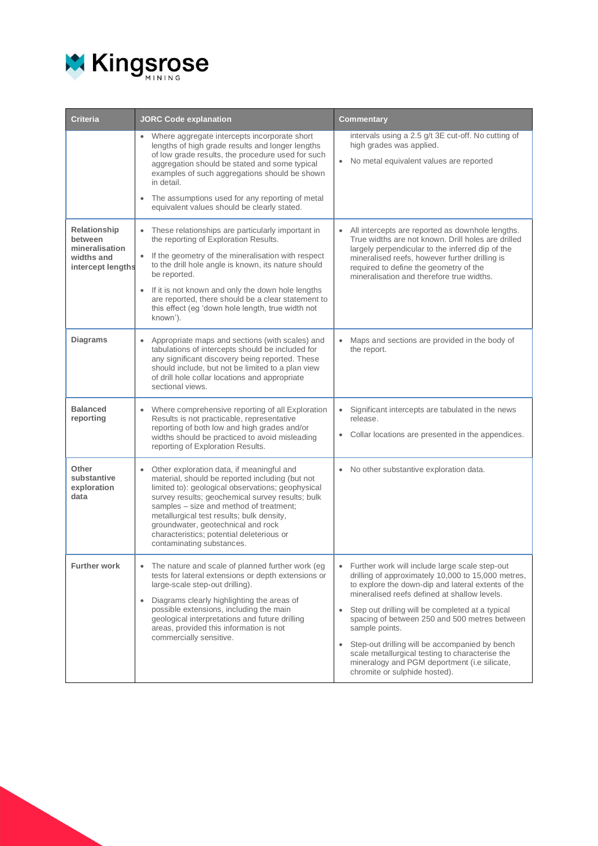

| <b>Criteria</b>                                                              | <b>JORC Code explanation</b>                                                                                                                                                                                                                                                                                                                                                                                       | <b>Commentary</b>                                                                                                                                                                                                                                                                                                                                                                                                                                                                                                       |  |  |  |
|------------------------------------------------------------------------------|--------------------------------------------------------------------------------------------------------------------------------------------------------------------------------------------------------------------------------------------------------------------------------------------------------------------------------------------------------------------------------------------------------------------|-------------------------------------------------------------------------------------------------------------------------------------------------------------------------------------------------------------------------------------------------------------------------------------------------------------------------------------------------------------------------------------------------------------------------------------------------------------------------------------------------------------------------|--|--|--|
|                                                                              | Where aggregate intercepts incorporate short<br>lengths of high grade results and longer lengths<br>of low grade results, the procedure used for such<br>aggregation should be stated and some typical<br>examples of such aggregations should be shown<br>in detail.<br>The assumptions used for any reporting of metal<br>equivalent values should be clearly stated.                                            | intervals using a 2.5 g/t 3E cut-off. No cutting of<br>high grades was applied.<br>• No metal equivalent values are reported                                                                                                                                                                                                                                                                                                                                                                                            |  |  |  |
| Relationship<br>between<br>mineralisation<br>widths and<br>intercept lengths | These relationships are particularly important in<br>$\bullet$<br>the reporting of Exploration Results.<br>If the geometry of the mineralisation with respect<br>to the drill hole angle is known, its nature should<br>be reported.<br>• If it is not known and only the down hole lengths<br>are reported, there should be a clear statement to<br>this effect (eg 'down hole length, true width not<br>known'). | • All intercepts are reported as downhole lengths.<br>True widths are not known. Drill holes are drilled<br>largely perpendicular to the inferred dip of the<br>mineralised reefs, however further drilling is<br>required to define the geometry of the<br>mineralisation and therefore true widths.                                                                                                                                                                                                                   |  |  |  |
| <b>Diagrams</b>                                                              | • Appropriate maps and sections (with scales) and<br>tabulations of intercepts should be included for<br>any significant discovery being reported. These<br>should include, but not be limited to a plan view<br>of drill hole collar locations and appropriate<br>sectional views.                                                                                                                                | Maps and sections are provided in the body of<br>the report.                                                                                                                                                                                                                                                                                                                                                                                                                                                            |  |  |  |
| <b>Balanced</b><br>reporting                                                 | Where comprehensive reporting of all Exploration<br>Results is not practicable, representative<br>reporting of both low and high grades and/or<br>widths should be practiced to avoid misleading<br>reporting of Exploration Results.                                                                                                                                                                              | Significant intercepts are tabulated in the news<br>release.<br>Collar locations are presented in the appendices.                                                                                                                                                                                                                                                                                                                                                                                                       |  |  |  |
| Other<br>substantive<br>exploration<br>data                                  | Other exploration data, if meaningful and<br>material, should be reported including (but not<br>limited to): geological observations; geophysical<br>survey results; geochemical survey results; bulk<br>samples - size and method of treatment;<br>metallurgical test results; bulk density,<br>groundwater, geotechnical and rock<br>characteristics; potential deleterious or<br>contaminating substances.      | No other substantive exploration data.                                                                                                                                                                                                                                                                                                                                                                                                                                                                                  |  |  |  |
| <b>Further work</b>                                                          | The nature and scale of planned further work (eg<br>tests for lateral extensions or depth extensions or<br>large-scale step-out drilling).<br>Diagrams clearly highlighting the areas of<br>$\bullet$<br>possible extensions, including the main<br>geological interpretations and future drilling<br>areas, provided this information is not<br>commercially sensitive.                                           | Further work will include large scale step-out<br>drilling of approximately 10,000 to 15,000 metres,<br>to explore the down-dip and lateral extents of the<br>mineralised reefs defined at shallow levels.<br>Step out drilling will be completed at a typical<br>spacing of between 250 and 500 metres between<br>sample points.<br>Step-out drilling will be accompanied by bench<br>scale metallurgical testing to characterise the<br>mineralogy and PGM deportment (i.e silicate,<br>chromite or sulphide hosted). |  |  |  |